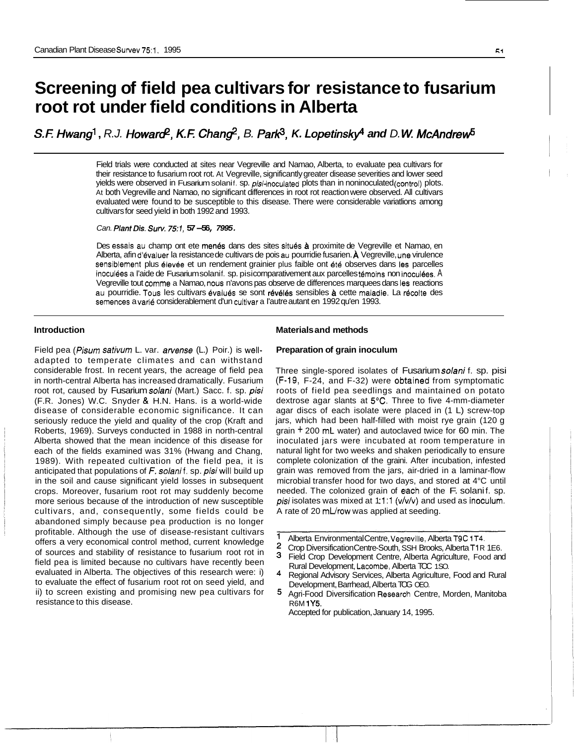# **Screening of field pea cultivars for resistance to fusarium root rot under field conditions in Alberta**

*S.E Hwang'* , *R.J. Howard?, K.E Char\$, B. Pare, K. Lopetinsky and D. W McAndre&* 

Field trials were conducted at sites near Vegreville and Namao, Alberta, to evaluate pea cultivars for their resistance to fusarium root rot. At Vegreville, significantly greater disease severities and lower seed yields were observed in Fusarium solanif. sp. pisi-inoculated plots than in noninoculated (control) plots. At both Vegreville and Namao, no significant differences in root rot reaction were observed. All cultivars evaluated were found to be susceptible to this disease. There were considerable variatlions among cultivars for seed yield in both 1992 and 1993.

*Can. PlantDis. Surv. 75:7,* **57-56,** *7995.* 

Des essais au champ ont ete menés dans des sites situés à proximite de Vegreville et Namao, en Alberta, afin d'évaluer la resistance de cultivars de pois au pourridie fusarien. À Vegreville, une virulence sensiblement plus élevée et un rendement grainier plus faible ont été observes dans les parcelles inoculées a l'aide de Fusarium solanif. sp. pisi comparativement aux parcelles témoins non inoculées. A Vegreville tout comme a Namao, nous n'avons pas observe de differences marquees dans **Ies** reactions au pourridie. Tous les cultivars évalués se sont révélés sensibles à cette maladie. La récolte des semences a varie considerablement d'un cultivar a I'autre autant en 1992 qu'en 1993.

## **Introduction**

Field pea *(Pisum sativum* L. var. arvense (L.) Poir.) is welladapted to temperate climates and can withstand considerable frost. In recent years, the acreage of field pea in north-central Alberta has increased dramatically. Fusarium root rot, caused by Fusarium solani (Mart.) Sacc. f. sp. pisi (F.R. Jones) W.C. Snyder & H.N. Hans. is a world-wide disease of considerable economic significance. It can seriously reduce the yield and quality of the crop (Kraft and Roberts, 1969). Surveys conducted in 1988 in north-central Alberta showed that the mean incidence of this disease for each of the fields examined was 31% (Hwang and Chang, 1989). With repeated cultivation of the field pea, it is anticipated that populations of *F. solani* f. sp. *pisi* will build up in the soil and cause significant yield losses in subsequent crops. Moreover, fusarium root rot may suddenly become more serious because of the introduction of new susceptible cultivars, and, consequently, some fields could be abandoned simply because pea production is no longer profitable. Although the use of disease-resistant cultivars offers a very economical control method, current knowledge of sources and stability of resistance to fusarium root rot in field pea is limited because no cultivars have recently been evaluated in Alberta. The objectives of this research were: i) to evaluate the effect of fusarium root rot on seed yield, and ii) to screen existing and promising new pea cultivars for resistance to this disease.

## **Materials and methods**

#### **Preparation of grain inoculum**

Three single-spored isolates of Fusarium solani f. sp. pisi (F-19, F-24, and F-32) were obitained from symptomatic roots of field pea seedlings and maintained on potato dextrose agar slants at 5°C. Three to five 4-mm-diameter agar discs of each isolate were placed in (1 L) screw-top jars, which had been half-filled with moist rye grain (120 g grain + 200 mL water) and autoclaved twice for 60 min. The inoculated jars were incubated at room temperature in natural light for two weeks and shaken periodically to ensure complete colonization of the graini. After incubation, infested grain was removed from the jars, air-dried in a laminar-flow microbial transfer hood for two days, and stored at 4°C until needed. The colonized grain of each of the F. solanif. sp. pisi isolates was mixed at 1:1:1 ( $v/v/v$ ) and used as inoculum. A rate of 20 mL/row was applied at seeding.

- $\overline{2}$ Crop Diversification Centre-South, SSH Brooks, Alberta T1 R 1E6.
- з Field Crop Development Centre, Alberta Agriculture, Food and Rural Development, Lacombe, Alberta TOC 1SO.
- Regional Advisory Services, Alberta Agriculture, Food and Rural Development, Barrhead, Alberta TOG OEO.
- 5. Agri-Food Diversification Researdh Centre, Morden, Manitoba R6M **1Y5.**

Accepted for publication, January 14, 1995.

 $\mathbf{1}$ Alberta Environmental Centre, Vegreville, Alberta T9C 1T4.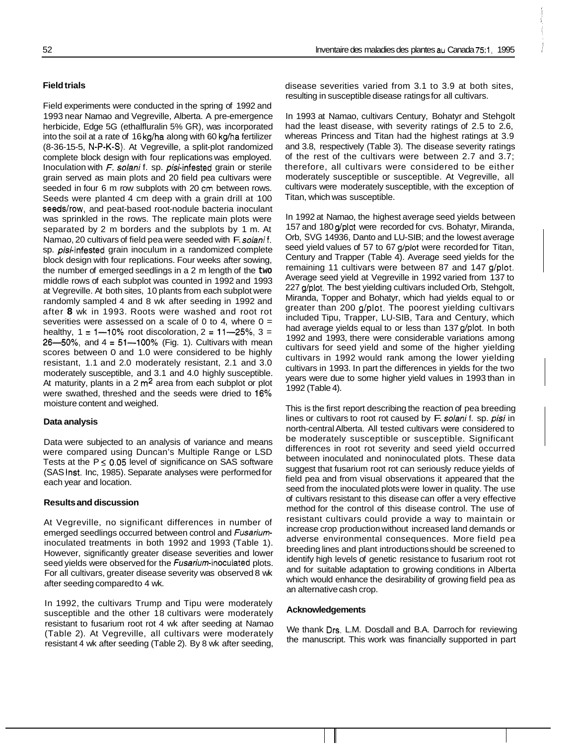## **Field trials**

Field experiments were conducted in the spring of 1992 and 1993 near Namao and Vegreville, Alberta. A pre-emergence herbicide, Edge 5G (ethalfluralin 5% GR), was incorporated into the soil at a rate of 16 kg/ha along with 60 kg/ha fertilizer (8-36-15-5, N-P-K-S). At Vegreville, a split-plot randomized complete block design with four replications was employed. Inoculation with F. *solani* f. sp. pisi-infested grain or sterile grain served as main plots and 20 field pea cultivars were seeded in four 6 m row subplots with 20 cm between rows. Seeds were planted 4 cm deep with a grain drill at 100 seeds/row, and peat-based root-nodule bacteria inoculant was sprinkled in the rows. The replicate main plots were separated by 2 m borders and the subplots by 1 m. At Namao, 20 cultivars of field pea were seeded with F. solani f. sp. *pisi*-infested grain inoculum in a randomized complete block design with four replications. Four weeks after sowing, the number of emerged seedlings in a 2 m length of the **two**  middle rows of each subplot was counted in 1992 and 1993 at Vegreville. At both sites, 10 plants from each subplot were randomly sampled 4 and 8 wk after seeding in 1992 and after **8** wk in 1993. Roots were washed and root rot severities were assessed on a scale of 0 to 4, where  $0 =$ healthy,  $1 = 1 - 10\%$  root discoloration,  $2 = 11 - 25\%$ ,  $3 =$ 26-50%, and  $4 = 51 - 100$ % (Fig. 1). Cultivars with mean scores between 0 and 1.0 were considered to be highly resistant, 1.1 and 2.0 moderately resistant, 2.1 and 3.0 moderately susceptible, and 3.1 and 4.0 highly susceptible. At maturity, plants in a  $2 \text{ m}^2$  area from each subplot or plot were swathed, threshed and the seeds were dried to 16% moisture content and weighed.

## **Data analysis**

Data were subjected to an analysis of variance and means were compared using Duncan's Multiple Range or LSD Tests at the P ≤ 0.05 level of significance on SAS software (SAS Inst. Inc, 1985). Separate analyses were performed for each year and location.

#### **Results and discussion**

At Vegreville, no significant differences in number of emerged seedlings occurred between control and Fusarium inoculated treatments in both 1992 and 1993 (Table 1). However, significantly greater disease severities and lower seed yields were observed for the Fusarium-inoculated plots. For all cultivars, greater disease severity was observed 8 wk after seeding compared to 4 wk.

In 1992, the cultivars Trump and Tipu were moderately susceptible and the other 18 cultivars were moderately resistant to fusarium root rot 4 wk after seeding at Namao (Table 2). At Vegreville, all cultivars were moderately resistant 4 wk after seeding (Table 2). By 8 wk after seeding,

disease severities varied from 3.1 to 3.9 at both sites, resulting in susceptible disease ratings for all cultivars.

In 1993 at Namao, cultivars Century, Bohatyr and Stehgolt had the least disease, with severity ratings of 2.5 to 2.6, whereas Princess and Titan had the highest ratings at 3.9 and 3.8, respectively (Table 3). The disease severity ratings of the rest of the cultivars were between 2.7 and 3.7; therefore, all cultivars were considered to be either moderately susceptible or susceptible. At Vegreville, all cultivars were moderately susceptible, with the exception of Titan, which was susceptible.

In 1992 at Namao, the highest average seed yields between 157 and 180 g/plot were recorded for cvs. Bohatyr, Miranda, Orb, SVG 14936, Danto and LU-SIB; and the lowest average seed yield values of 57 to 67 g/plot were recorded for Titan, Century and Trapper (Table 4). Average seed yields for the remaining 11 cultivars were between 87 and 147 g/plot. Average seed yield at Vegreville in 1992 varied from 137 to 227 g/plot. The best yielding cultivars included Orb, Stehgolt, Miranda, Topper and Bohatyr, which had yields equal to or greater than 200 g/plot. The poorest yielding cultivars included Tipu, Trapper, LU-SIB, Tara and Century, which had average yields equal to or less than 137 g/plot. In both 1992 and 1993, there were considerable variations among cultivars for seed yield and some of the higher yielding cultivars in 1992 would rank among the lower yielding cultivars in 1993. In part the differences in yields for the two years were due to some higher yield values in 1993 than in 1992 (Table 4).

This is the first report describing the reaction of pea breeding lines or cultivars to root rot caused by F. *solani* f. sp. *pisi* in north-central Alberta. All tested cultivars were considered to be moderately susceptible or susceptible. Significant differences in root rot severity and seed yield occurred between inoculated and noninoculated plots. These data suggest that fusarium root rot can seriously reduce yields of field pea and from visual observations it appeared that the seed from the inoculated plots were lower in quality. The use of cultivars resistant to this disease can offer a very effective method for the control of this disease control. The use of resistant cultivars could provide a way to maintain or increase crop production without increased land demands or adverse environmental consequences. More field pea breeding lines and plant introductions should be screened to identify high levels of genetic resistance to fusarium root rot and for suitable adaptation to growing conditions in Alberta which would enhance the desirability of growing field pea as an alternative cash crop.

### **Acknowledgements**

We thank Drs. L.M. Dosdall and B.A. Darroch for reviewing the manuscript. This work was financially supported in part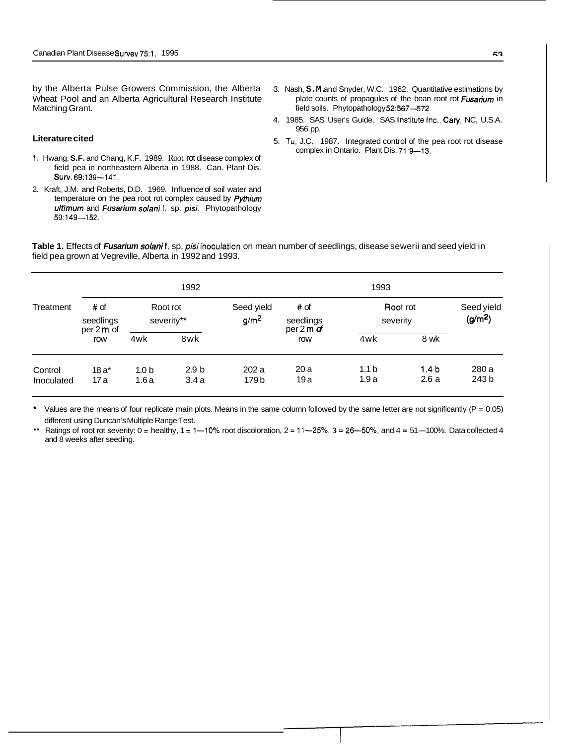by the Alberta Pulse Growers Commission, the Alberta Wheat Pool and an Alberta Agricultural Research Institute Matching Grant.

#### **Literature cited**

- 1. Hwang, **S.F.** and Chang, K.F. 1989. Root rot disease complex of field pea in northeastern Alberta in 1988. Can. Plant Dis. **SUW.** 69:139-141.
- 2. Kraft, J.M. and Roberts, D.D. 1969. Influence of soil water and temperature on the pea root rot complex caused by *Pythium ultimum* and *Fusarium solani* f. sp. *pisi.* Phytopathology 59:149-152.
- 3. Nash, **S.M.** and Snyder, W.C. 1962. Quantitative estimations by plate counts of propagules of the bean root rot *Fusarium* in field soils. Phytopathology 52:567-572.
- 4. 1985. SAS User's Guide. SAS Institute Inc., Cary, NC, U.S.A. 956 pp.
- 5. Tu, J.C. 1987. Integrated control of the pea root rot disease complex in Ontario. Plant Dis. 71:9-13.

Table 1. Effects of *Fusarium solani* f. sp. *pisi* inoculation on mean number of seedlings, disease sewerii and seed yield in field pea grown at Vegreville, Alberta in 1992 and 1993.

|                       | 1992                            |                          |                          |                                | 1993                             |                          |                          |                                   |
|-----------------------|---------------------------------|--------------------------|--------------------------|--------------------------------|----------------------------------|--------------------------|--------------------------|-----------------------------------|
| Treatment             | # of<br>seedlings<br>per 2 m of | Root rot                 | severity**               | Seed yield<br>g/m <sup>2</sup> | # of<br>seedlings<br>per 2 m $d$ | Root rot<br>severity     |                          | Seed yield<br>(g/m <sup>2</sup> ) |
|                       | row                             | 4wk                      | 8wk                      |                                | row                              | 4wk                      | 8 wk                     |                                   |
| Control<br>Inoculated | $18a^*$<br>17 a                 | 1.0 <sub>b</sub><br>1.6a | 2.9 <sub>b</sub><br>3.4a | 202a<br>179 b                  | 20a<br>19a                       | 1.1 <sub>b</sub><br>1.9a | 1.4 <sub>b</sub><br>2.6a | 280 a<br>243 b                    |

Values are the means of four replicate main plots. Means in the same column followed by the same letter are not significantly ( $P = 0.05$ ) different using Duncan's Multiple Range Test.

\*\* Ratings of root rot severity:  $0 =$  healthy,  $1 = 1 - 10$ % root discoloration,  $2 = 11 - 25$ %,  $3 = 26 - 50$ %, and  $4 = 51 - 100$ %. Data collected 4 and 8 weeks after seeding.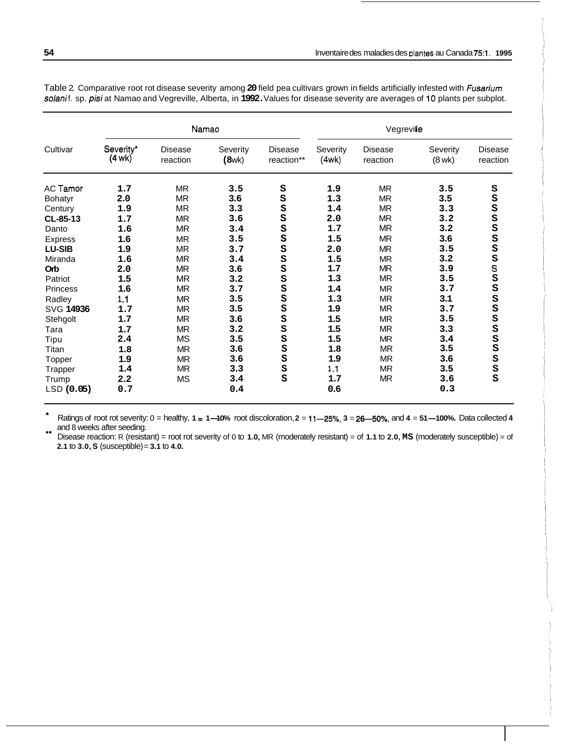| Cultivar        |                               |                            | Namao             |                       | Vegreville        |                            |                         |                            |
|-----------------|-------------------------------|----------------------------|-------------------|-----------------------|-------------------|----------------------------|-------------------------|----------------------------|
|                 | Severity*<br>$(4 \text{ wk})$ | <b>Disease</b><br>reaction | Severity<br>(8wk) | Disease<br>reaction** | Severity<br>(4wk) | <b>Disease</b><br>reaction | Severity<br>$(8$ wk $)$ | <b>Disease</b><br>reaction |
| AC Tamor        | 1.7                           | <b>MR</b>                  | 3.5               | S                     | 1.9               | <b>MR</b>                  | 3.5                     | S                          |
| Bohatyr         | 2.0                           | <b>MR</b>                  | 3.6               | S                     | 1.3               | <b>MR</b>                  | 3.5                     | S                          |
| Century         | 1.9                           | <b>MR</b>                  | 3.3               | S                     | 1.4               | <b>MR</b>                  | 3.3                     | S                          |
| CL-85-13        | 1.7                           | <b>MR</b>                  | 3.6               | S                     | 2.0               | <b>MR</b>                  | 3.2                     | S                          |
| Danto           | 1.6                           | <b>MR</b>                  | 3.4               | S                     | 1.7               | <b>MR</b>                  | 3.2                     | S                          |
| <b>Express</b>  | 1.6                           | <b>MR</b>                  | 3.5               | S                     | 1.5               | <b>MR</b>                  | 3.6                     | S<br>S                     |
| <b>LU-SIB</b>   | 1.9                           | <b>MR</b>                  | 3.7               | S                     | 2.0               | <b>MR</b>                  | 3.5                     |                            |
| Miranda         | 1.6                           | <b>MR</b>                  | 3.4               | S                     | 1.5               | <b>MR</b>                  | 3.2                     |                            |
| Orb             | 2.0                           | ΜR                         | 3.6               | S                     | 1.7               | <b>MR</b>                  | 3.9                     | <b>S</b><br>S<br>S<br>S    |
| Patriot         | 1.5                           | <b>MR</b>                  | 3.2               | S                     | 1.3               | <b>MR</b>                  | 3.5                     |                            |
| <b>Princess</b> | 1.6                           | <b>MR</b>                  | 3.7               | S                     | 1.4               | <b>MR</b>                  | 3.7                     |                            |
| Radley          | 1.1                           | <b>MR</b>                  | 3.5               | S                     | 1.3               | <b>MR</b>                  | 3.1                     |                            |
| SVG 14936       | 1.7                           | <b>MR</b>                  | 3.5               | S                     | 1.9               | <b>MR</b>                  | 3.7                     | s<br>s                     |
| Stehgolt        | 1.7                           | <b>MR</b>                  | 3.6               | S                     | 1.5               | <b>MR</b>                  | 3.5                     | S                          |
| Tara            | 1.7                           | <b>MR</b>                  | 3.2               | S                     | 1.5               | MR.                        | 3.3                     | S                          |
| Tipu            | 2.4                           | <b>MS</b>                  | 3.5               | S                     | 1.5               | MR                         | 3.4                     | S                          |
| Titan           | 1.8                           | <b>MR</b>                  | 3.6               | S                     | 1.8               | <b>MR</b>                  | 3.5                     | S                          |
| Topper          | 1.9                           | <b>MR</b>                  | 3.6               | S                     | 1.9               | <b>MR</b>                  | 3.6                     | S                          |
| <b>Trapper</b>  | 1.4                           | <b>MR</b>                  | 3.3               | S                     | 1.1               | <b>MR</b>                  | 3.5                     | S                          |
| Trump           | 2.2                           | <b>MS</b>                  | 3.4               | S                     | 1.7               | MR.                        | 3.6                     | S                          |
| LSD (0.05)      | 0.7                           |                            | 0.4               |                       | 0.6               |                            | 0.3                     |                            |

Table 2. Comparative root rot disease severity among **20** field pea cultivars grown in fields artificially infested with *fusariurn solani* f. sp. *pisi* at Namao and Vegreville, Alberta, in **1992.** Values for disease severity are averages of 10 plants per subplot.

\* \*\* Ratings of root rot severity: 0 = healthy, **1** <sup>=</sup>**1-10%** root discoloration, **2** = **11-25%, 3** = **26-5070,** and **4** <sup>=</sup>**51-100%.** Data collected **<sup>4</sup>** and 8 weeks after seeding.

Disease reaction: R (resistant) = root rot severity of 0 to **1.0,** MR (moderately resistant) = of **1.1** to **2.0, MS** (moderately susceptible) = of **2.1** to **3.0, S** (susceptible) = **3.1** to **4.0.**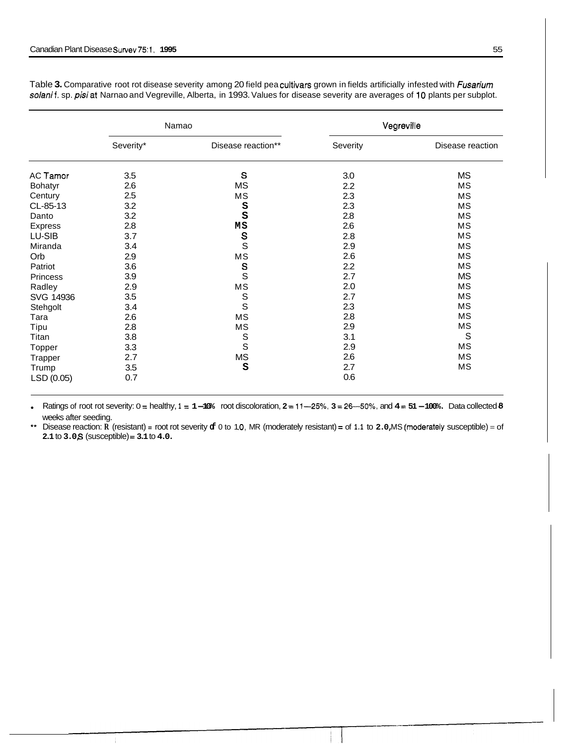|                 |           | Namao                           | Vegreville |                  |  |
|-----------------|-----------|---------------------------------|------------|------------------|--|
|                 | Severity* | Disease reaction**              | Severity   | Disease reaction |  |
| AC Tamor        | 3.5       | S                               | 3.0        | <b>MS</b>        |  |
| <b>Bohatyr</b>  | 2.6       | <b>MS</b>                       | 2.2        | MS               |  |
| Century         | 2.5       | MS                              | 2.3        | MS               |  |
| CL-85-13        | 3.2       | S                               | 2.3        | MS               |  |
| Danto           | 3.2       | S                               | 2.8        | MS               |  |
| <b>Express</b>  | 2.8       | MS                              | 2.6        | MS               |  |
| LU-SIB          | 3.7       |                                 | 2.8        | MS               |  |
| Miranda         | 3.4       | $\frac{s}{s}$                   | 2.9        | MS               |  |
| Orb             | 2.9       | $\mathsf{MS}\xspace$            | 2.6        | MS               |  |
| Patriot         | 3.6       |                                 | 2.2        | MS               |  |
| <b>Princess</b> | 3.9       | $\frac{\mathsf{s}}{\mathsf{s}}$ | 2.7        | <b>MS</b>        |  |
| Radley          | 2.9       | MS                              | 2.0        | MS               |  |
| SVG 14936       | 3.5       | S<br>S                          | 2.7        | MS               |  |
| Stehgolt        | 3.4       |                                 | 2.3        | <b>MS</b>        |  |
| Tara            | 2.6       | MS                              | 2.8        | MS               |  |
| Tipu            | 2.8       | MS                              | 2.9        | MS               |  |
| Titan           | 3.8       | S<br>S                          | 3.1        | S                |  |
| Topper          | 3.3       |                                 | 2.9        | <b>MS</b>        |  |
| Trapper         | 2.7       | <b>MS</b>                       | 2.6        | MS               |  |
| Trump           | 3.5       | S                               | 2.7        | MS               |  |
| LSD (0.05)      | 0.7       |                                 | 0.6        |                  |  |

Table **3.** Comparative root rot disease severity among 20 field pea cultivars grown in fields artificially infested with *Fusarium*  solani f. sp. pisi at Narnao and Vegreville, Alberta, in 1993. Values for disease severity are averages of 10 plants per subplot.

Ratings of root rot severity: 0 = healthy, **1** <sup>=</sup>**1-10%** root discoloration, **2** = **11-25%, 3** = **26-50%,** and **4** <sup>=</sup>**51-100%.** Data collected *<sup>8</sup>* weeks after seeding.

\*\* Disease reaction: **R** (resistant) = root rot severity **of** 0 to 1 **.O,** MR (moderately resistant) = of **1.1** to **2.0,** MS l(moderately susceptible) = of **2.1** to **3.0,** *S* (susceptible) = **3.1** to **4.0.**